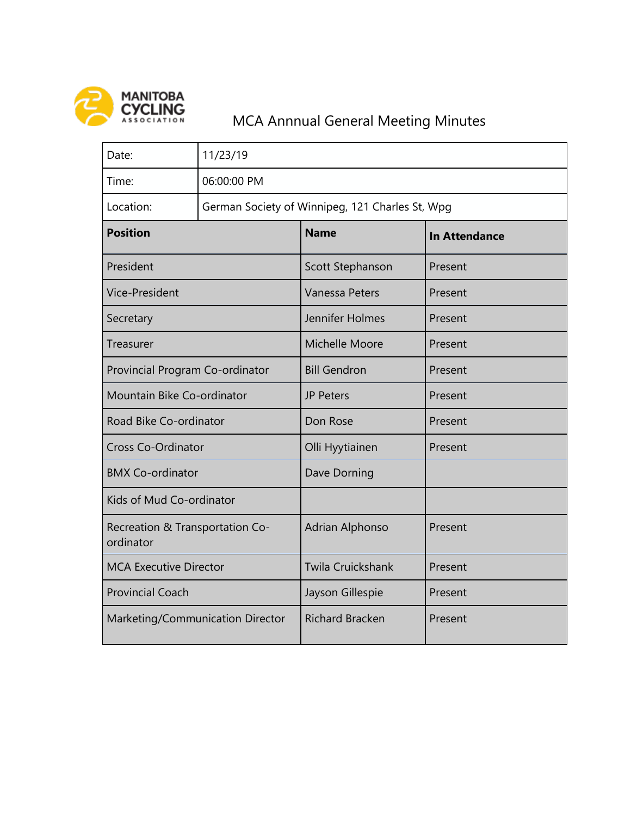

## MANITOBA<br>
CYCLING<br>
ASSOCIATION MCA Annnual General Meeting Minutes

| Date:                                        | 11/23/19                                        |                          |                      |
|----------------------------------------------|-------------------------------------------------|--------------------------|----------------------|
| Time:                                        | 06:00:00 PM                                     |                          |                      |
| Location:                                    | German Society of Winnipeg, 121 Charles St, Wpg |                          |                      |
| <b>Position</b>                              |                                                 | <b>Name</b>              | <b>In Attendance</b> |
| President                                    |                                                 | Scott Stephanson         | Present              |
| <b>Vice-President</b>                        |                                                 | <b>Vanessa Peters</b>    | Present              |
| Secretary                                    |                                                 | Jennifer Holmes          | Present              |
| Treasurer                                    |                                                 | <b>Michelle Moore</b>    | Present              |
| Provincial Program Co-ordinator              |                                                 | <b>Bill Gendron</b>      | Present              |
| Mountain Bike Co-ordinator                   |                                                 | <b>JP Peters</b>         | Present              |
| Road Bike Co-ordinator                       |                                                 | Don Rose                 | Present              |
| <b>Cross Co-Ordinator</b>                    |                                                 | Olli Hyytiainen          | Present              |
| <b>BMX Co-ordinator</b>                      |                                                 | Dave Dorning             |                      |
| Kids of Mud Co-ordinator                     |                                                 |                          |                      |
| Recreation & Transportation Co-<br>ordinator |                                                 | <b>Adrian Alphonso</b>   | Present              |
| <b>MCA Executive Director</b>                |                                                 | <b>Twila Cruickshank</b> | Present              |
| <b>Provincial Coach</b>                      |                                                 | Jayson Gillespie         | Present              |
| Marketing/Communication Director             |                                                 | <b>Richard Bracken</b>   | Present              |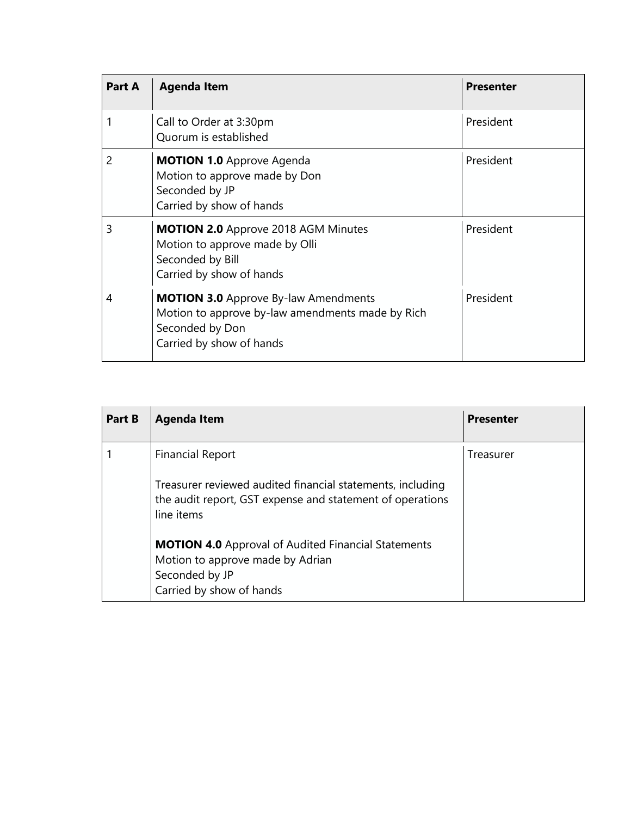| Part A | <b>Agenda Item</b>                                                                                                                             | <b>Presenter</b> |
|--------|------------------------------------------------------------------------------------------------------------------------------------------------|------------------|
|        | Call to Order at 3:30pm<br>Quorum is established                                                                                               | President        |
| 2      | <b>MOTION 1.0 Approve Agenda</b><br>Motion to approve made by Don<br>Seconded by JP<br>Carried by show of hands                                | President        |
| 3      | <b>MOTION 2.0</b> Approve 2018 AGM Minutes<br>Motion to approve made by Olli<br>Seconded by Bill<br>Carried by show of hands                   | President        |
| 4      | <b>MOTION 3.0</b> Approve By-law Amendments<br>Motion to approve by-law amendments made by Rich<br>Seconded by Don<br>Carried by show of hands | President        |

| Part B | <b>Agenda Item</b>                                                                                                                                         | <b>Presenter</b> |
|--------|------------------------------------------------------------------------------------------------------------------------------------------------------------|------------------|
|        | <b>Financial Report</b><br>Treasurer reviewed audited financial statements, including<br>the audit report, GST expense and statement of operations         | Treasurer        |
|        | line items<br><b>MOTION 4.0</b> Approval of Audited Financial Statements<br>Motion to approve made by Adrian<br>Seconded by JP<br>Carried by show of hands |                  |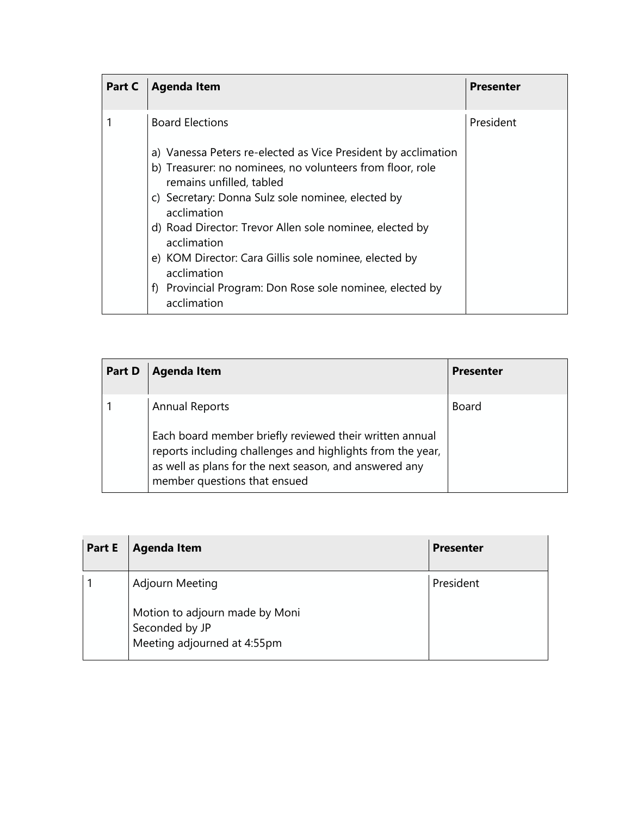| Part C | <b>Agenda Item</b>                                                                    | <b>Presenter</b> |
|--------|---------------------------------------------------------------------------------------|------------------|
|        | <b>Board Elections</b>                                                                | President        |
|        | a) Vanessa Peters re-elected as Vice President by acclimation                         |                  |
|        | b) Treasurer: no nominees, no volunteers from floor, role<br>remains unfilled, tabled |                  |
|        | c) Secretary: Donna Sulz sole nominee, elected by<br>acclimation                      |                  |
|        | d) Road Director: Trevor Allen sole nominee, elected by<br>acclimation                |                  |
|        | e) KOM Director: Cara Gillis sole nominee, elected by<br>acclimation                  |                  |
|        | Provincial Program: Don Rose sole nominee, elected by<br>f<br>acclimation             |                  |

| <b>Part D</b> | <b>Agenda Item</b>                                                                                                                                                                                                                       | <b>Presenter</b> |
|---------------|------------------------------------------------------------------------------------------------------------------------------------------------------------------------------------------------------------------------------------------|------------------|
|               | <b>Annual Reports</b><br>Each board member briefly reviewed their written annual<br>reports including challenges and highlights from the year,<br>as well as plans for the next season, and answered any<br>member questions that ensued | Board            |

| Part E | <b>Agenda Item</b>                                | <b>Presenter</b> |
|--------|---------------------------------------------------|------------------|
|        | Adjourn Meeting<br>Motion to adjourn made by Moni | President        |
|        | Seconded by JP<br>Meeting adjourned at 4:55pm     |                  |